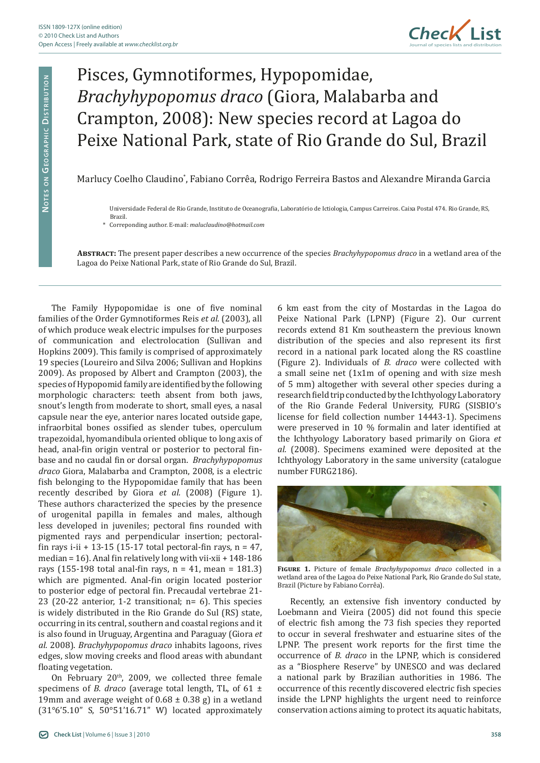

## Pisces, Gymnotiformes, Hypopomidae, *Brachyhypopomus draco* (Giora, Malabarba and Crampton, 2008): New species record at Lagoa do Peixe National Park, state of Rio Grande do Sul, Brazil

Marlucy Coelho Claudino\* , Fabiano Corrêa, Rodrigo Ferreira Bastos and Alexandre Miranda Garcia

Universidade Federal de Rio Grande, Instituto de Oceanografia, Laboratório de Ictiologia, Campus Carreiros. Caixa Postal 474. Rio Grande, RS, Brazil.

\* Correponding author. E-mail: *maluclaudino@hotmail.com*

**Abstract:** The present paper describes a new occurrence of the species *Brachyhypopomus draco* in a wetland area of the Lagoa do Peixe National Park, state of Rio Grande do Sul, Brazil.

The Family Hypopomidae is one of five nominal families of the Order Gymnotiformes Reis *et al*. (2003), all of which produce weak electric impulses for the purposes of communication and electrolocation (Sullivan and Hopkins 2009). This family is comprised of approximately 19 species (Loureiro and Silva 2006; Sullivan and Hopkins 2009). As proposed by Albert and Crampton (2003), the species of Hypopomid family are identified by the following morphologic characters: teeth absent from both jaws, snout's length from moderate to short, small eyes, a nasal capsule near the eye, anterior nares located outside gape, infraorbital bones ossified as slender tubes, operculum trapezoidal, hyomandibula oriented oblique to long axis of head, anal-fin origin ventral or posterior to pectoral finbase and no caudal fin or dorsal organ. *Brachyhypopomus draco* Giora, Malabarba and Crampton, 2008, is a electric fish belonging to the Hypopomidae family that has been recently described by Giora *et al.* (2008) (Figure 1). These authors characterized the species by the presence of urogenital papilla in females and males, although less developed in juveniles; pectoral fins rounded with pigmented rays and perpendicular insertion; pectoralfin rays i-ii + 13-15 (15-17 total pectoral-fin rays,  $n = 47$ , median = 16). Anal fin relatively long with vii-xii + 148-186 rays (155-198 total anal-fin rays,  $n = 41$ , mean = 181.3) which are pigmented. Anal-fin origin located posterior to posterior edge of pectoral fin. Precaudal vertebrae 21- 23 (20-22 anterior, 1-2 transitional; n= 6). This species is widely distributed in the Rio Grande do Sul (RS) state, occurring in its central, southern and coastal regions and it is also found in Uruguay, Argentina and Paraguay (Giora *et al.* 2008). *Brachyhypopomus draco* inhabits lagoons, rives edges, slow moving creeks and flood areas with abundant floating vegetation.

On February 20<sup>th</sup>, 2009, we collected three female specimens of *B. draco* (average total length, TL, of 61  $\pm$ 19mm and average weight of  $0.68 \pm 0.38$  g) in a wetland (31°6'5.10" S, 50°51'16.71" W) located approximately

6 km east from the city of Mostardas in the Lagoa do Peixe National Park (LPNP) (Figure 2). Our current records extend 81 Km southeastern the previous known distribution of the species and also represent its first record in a national park located along the RS coastline (Figure 2). Individuals of *B. draco* were collected with a small seine net (1x1m of opening and with size mesh of 5 mm) altogether with several other species during a research field trip conducted by the Ichthyology Laboratory of the Rio Grande Federal University, FURG (SISBIO's license for field collection number 14443-1). Specimens were preserved in 10 % formalin and later identified at the Ichthyology Laboratory based primarily on Giora *et al.* (2008). Specimens examined were deposited at the Ichthyology Laboratory in the same university (catalogue number FURG2186).



**Figure 1.** Picture of female *Brachyhypopomus draco* collected in a wetland area of the Lagoa do Peixe National Park, Rio Grande do Sul state, Brazil (Picture by Fabiano Corrêa).

Recently, an extensive fish inventory conducted by Loebmann and Vieira (2005) did not found this specie of electric fish among the 73 fish species they reported to occur in several freshwater and estuarine sites of the LPNP. The present work reports for the first time the occurrence of *B. draco* in the LPNP, which is considered as a "Biosphere Reserve" by UNESCO and was declared a national park by Brazilian authorities in 1986. The occurrence of this recently discovered electric fish species inside the LPNP highlights the urgent need to reinforce conservation actions aiming to protect its aquatic habitats,